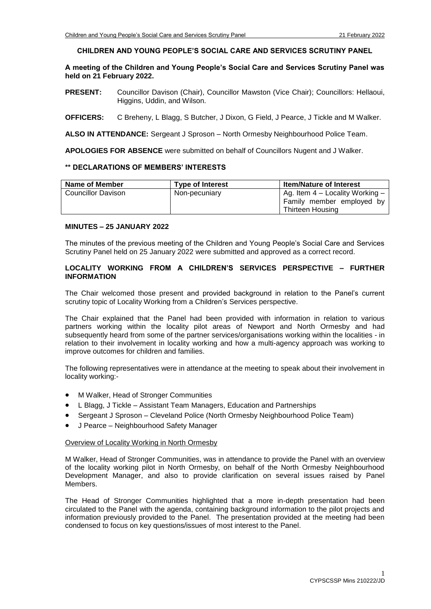## **CHILDREN AND YOUNG PEOPLE'S SOCIAL CARE AND SERVICES SCRUTINY PANEL**

# **A meeting of the Children and Young People's Social Care and Services Scrutiny Panel was held on 21 February 2022.**

- **PRESENT:** Councillor Davison (Chair), Councillor Mawston (Vice Chair); Councillors: Hellaoui, Higgins, Uddin, and Wilson.
- **OFFICERS:** C Breheny, L Blagg, S Butcher, J Dixon, G Field, J Pearce, J Tickle and M Walker.

**ALSO IN ATTENDANCE:** Sergeant J Sproson – North Ormesby Neighbourhood Police Team.

**APOLOGIES FOR ABSENCE** were submitted on behalf of Councillors Nugent and J Walker.

## **\*\* DECLARATIONS OF MEMBERS' INTERESTS**

| Name of Member     | <b>Type of Interest</b> | <b>Item/Nature of Interest</b>                                                     |  |
|--------------------|-------------------------|------------------------------------------------------------------------------------|--|
| Councillor Davison | Non-pecuniary           | Ag. Item $4$ – Locality Working –<br>Family member employed by<br>Thirteen Housing |  |

## **MINUTES – 25 JANUARY 2022**

The minutes of the previous meeting of the Children and Young People's Social Care and Services Scrutiny Panel held on 25 January 2022 were submitted and approved as a correct record.

## **LOCALITY WORKING FROM A CHILDREN'S SERVICES PERSPECTIVE – FURTHER INFORMATION**

The Chair welcomed those present and provided background in relation to the Panel's current scrutiny topic of Locality Working from a Children's Services perspective.

The Chair explained that the Panel had been provided with information in relation to various partners working within the locality pilot areas of Newport and North Ormesby and had subsequently heard from some of the partner services/organisations working within the localities - in relation to their involvement in locality working and how a multi-agency approach was working to improve outcomes for children and families.

The following representatives were in attendance at the meeting to speak about their involvement in locality working:-

- M Walker, Head of Stronger Communities
- L Blagg, J Tickle Assistant Team Managers, Education and Partnerships
- Sergeant J Sproson Cleveland Police (North Ormesby Neighbourhood Police Team)
- J Pearce Neighbourhood Safety Manager

## Overview of Locality Working in North Ormesby

M Walker, Head of Stronger Communities, was in attendance to provide the Panel with an overview of the locality working pilot in North Ormesby, on behalf of the North Ormesby Neighbourhood Development Manager, and also to provide clarification on several issues raised by Panel Members.

The Head of Stronger Communities highlighted that a more in-depth presentation had been circulated to the Panel with the agenda, containing background information to the pilot projects and information previously provided to the Panel. The presentation provided at the meeting had been condensed to focus on key questions/issues of most interest to the Panel.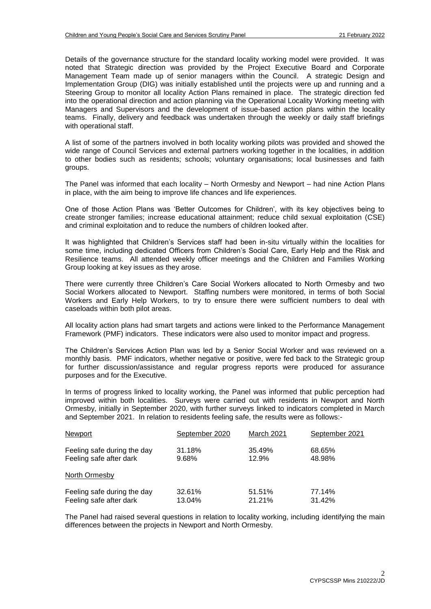Details of the governance structure for the standard locality working model were provided. It was noted that Strategic direction was provided by the Project Executive Board and Corporate Management Team made up of senior managers within the Council. A strategic Design and Implementation Group (DIG) was initially established until the projects were up and running and a Steering Group to monitor all locality Action Plans remained in place. The strategic direction fed into the operational direction and action planning via the Operational Locality Working meeting with Managers and Supervisors and the development of issue-based action plans within the locality teams. Finally, delivery and feedback was undertaken through the weekly or daily staff briefings with operational staff.

A list of some of the partners involved in both locality working pilots was provided and showed the wide range of Council Services and external partners working together in the localities, in addition to other bodies such as residents; schools; voluntary organisations; local businesses and faith groups.

The Panel was informed that each locality – North Ormesby and Newport – had nine Action Plans in place, with the aim being to improve life chances and life experiences.

One of those Action Plans was 'Better Outcomes for Children', with its key objectives being to create stronger families; increase educational attainment; reduce child sexual exploitation (CSE) and criminal exploitation and to reduce the numbers of children looked after.

It was highlighted that Children's Services staff had been in-situ virtually within the localities for some time, including dedicated Officers from Children's Social Care, Early Help and the Risk and Resilience teams. All attended weekly officer meetings and the Children and Families Working Group looking at key issues as they arose.

There were currently three Children's Care Social Workers allocated to North Ormesby and two Social Workers allocated to Newport. Staffing numbers were monitored, in terms of both Social Workers and Early Help Workers, to try to ensure there were sufficient numbers to deal with caseloads within both pilot areas.

All locality action plans had smart targets and actions were linked to the Performance Management Framework (PMF) indicators. These indicators were also used to monitor impact and progress.

The Children's Services Action Plan was led by a Senior Social Worker and was reviewed on a monthly basis. PMF indicators, whether negative or positive, were fed back to the Strategic group for further discussion/assistance and regular progress reports were produced for assurance purposes and for the Executive.

In terms of progress linked to locality working, the Panel was informed that public perception had improved within both localities. Surveys were carried out with residents in Newport and North Ormesby, initially in September 2020, with further surveys linked to indicators completed in March and September 2021. In relation to residents feeling safe, the results were as follows:-

| Newport                     | September 2020 | <b>March 2021</b> | September 2021 |
|-----------------------------|----------------|-------------------|----------------|
| Feeling safe during the day | 31.18%         | 35.49%            | 68.65%         |
| Feeling safe after dark     | 9.68%          | 12.9%             | 48.98%         |
| North Ormesby               |                |                   |                |
| Feeling safe during the day | 32.61%         | 51.51%            | 77.14%         |
| Feeling safe after dark     | 13.04%         | 21.21%            | 31.42%         |

The Panel had raised several questions in relation to locality working, including identifying the main differences between the projects in Newport and North Ormesby.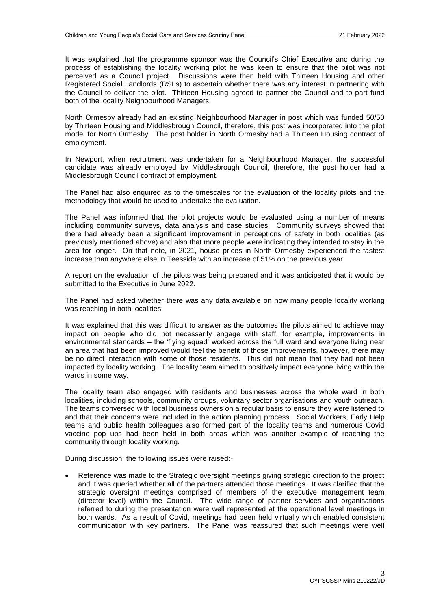It was explained that the programme sponsor was the Council's Chief Executive and during the process of establishing the locality working pilot he was keen to ensure that the pilot was not perceived as a Council project. Discussions were then held with Thirteen Housing and other Registered Social Landlords (RSLs) to ascertain whether there was any interest in partnering with the Council to deliver the pilot. Thirteen Housing agreed to partner the Council and to part fund both of the locality Neighbourhood Managers.

North Ormesby already had an existing Neighbourhood Manager in post which was funded 50/50 by Thirteen Housing and Middlesbrough Council, therefore, this post was incorporated into the pilot model for North Ormesby. The post holder in North Ormesby had a Thirteen Housing contract of employment.

In Newport, when recruitment was undertaken for a Neighbourhood Manager, the successful candidate was already employed by Middlesbrough Council, therefore, the post holder had a Middlesbrough Council contract of employment.

The Panel had also enquired as to the timescales for the evaluation of the locality pilots and the methodology that would be used to undertake the evaluation.

The Panel was informed that the pilot projects would be evaluated using a number of means including community surveys, data analysis and case studies. Community surveys showed that there had already been a significant improvement in perceptions of safety in both localities (as previously mentioned above) and also that more people were indicating they intended to stay in the area for longer. On that note, in 2021, house prices in North Ormesby experienced the fastest increase than anywhere else in Teesside with an increase of 51% on the previous year.

A report on the evaluation of the pilots was being prepared and it was anticipated that it would be submitted to the Executive in June 2022.

The Panel had asked whether there was any data available on how many people locality working was reaching in both localities.

It was explained that this was difficult to answer as the outcomes the pilots aimed to achieve may impact on people who did not necessarily engage with staff, for example, improvements in environmental standards – the 'flying squad' worked across the full ward and everyone living near an area that had been improved would feel the benefit of those improvements, however, there may be no direct interaction with some of those residents. This did not mean that they had not been impacted by locality working. The locality team aimed to positively impact everyone living within the wards in some way.

The locality team also engaged with residents and businesses across the whole ward in both localities, including schools, community groups, voluntary sector organisations and youth outreach. The teams conversed with local business owners on a regular basis to ensure they were listened to and that their concerns were included in the action planning process. Social Workers, Early Help teams and public health colleagues also formed part of the locality teams and numerous Covid vaccine pop ups had been held in both areas which was another example of reaching the community through locality working.

During discussion, the following issues were raised:-

 Reference was made to the Strategic oversight meetings giving strategic direction to the project and it was queried whether all of the partners attended those meetings. It was clarified that the strategic oversight meetings comprised of members of the executive management team (director level) within the Council. The wide range of partner services and organisations referred to during the presentation were well represented at the operational level meetings in both wards. As a result of Covid, meetings had been held virtually which enabled consistent communication with key partners. The Panel was reassured that such meetings were well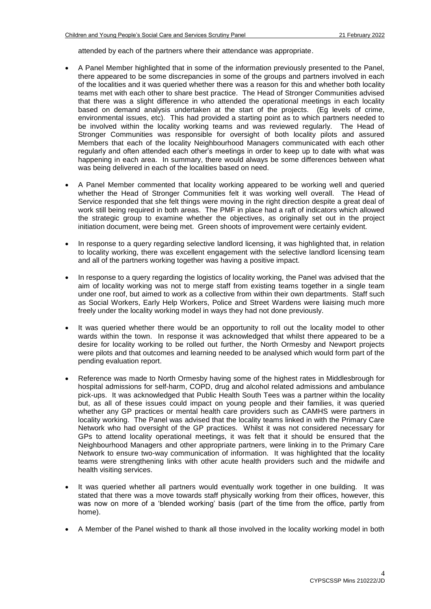attended by each of the partners where their attendance was appropriate.

- A Panel Member highlighted that in some of the information previously presented to the Panel, there appeared to be some discrepancies in some of the groups and partners involved in each of the localities and it was queried whether there was a reason for this and whether both locality teams met with each other to share best practice. The Head of Stronger Communities advised that there was a slight difference in who attended the operational meetings in each locality based on demand analysis undertaken at the start of the projects. (Eg levels of crime, environmental issues, etc). This had provided a starting point as to which partners needed to be involved within the locality working teams and was reviewed regularly. The Head of Stronger Communities was responsible for oversight of both locality pilots and assured Members that each of the locality Neighbourhood Managers communicated with each other regularly and often attended each other's meetings in order to keep up to date with what was happening in each area. In summary, there would always be some differences between what was being delivered in each of the localities based on need.
- A Panel Member commented that locality working appeared to be working well and queried whether the Head of Stronger Communities felt it was working well overall. The Head of Service responded that she felt things were moving in the right direction despite a great deal of work still being required in both areas. The PMF in place had a raft of indicators which allowed the strategic group to examine whether the objectives, as originally set out in the project initiation document, were being met. Green shoots of improvement were certainly evident.
- In response to a query regarding selective landlord licensing, it was highlighted that, in relation to locality working, there was excellent engagement with the selective landlord licensing team and all of the partners working together was having a positive impact.
- In response to a query regarding the logistics of locality working, the Panel was advised that the aim of locality working was not to merge staff from existing teams together in a single team under one roof, but aimed to work as a collective from within their own departments. Staff such as Social Workers, Early Help Workers, Police and Street Wardens were liaising much more freely under the locality working model in ways they had not done previously.
- It was queried whether there would be an opportunity to roll out the locality model to other wards within the town. In response it was acknowledged that whilst there appeared to be a desire for locality working to be rolled out further, the North Ormesby and Newport projects were pilots and that outcomes and learning needed to be analysed which would form part of the pending evaluation report.
- Reference was made to North Ormesby having some of the highest rates in Middlesbrough for hospital admissions for self-harm, COPD, drug and alcohol related admissions and ambulance pick-ups. It was acknowledged that Public Health South Tees was a partner within the locality but, as all of these issues could impact on young people and their families, it was queried whether any GP practices or mental health care providers such as CAMHS were partners in locality working. The Panel was advised that the locality teams linked in with the Primary Care Network who had oversight of the GP practices. Whilst it was not considered necessary for GPs to attend locality operational meetings, it was felt that it should be ensured that the Neighbourhood Managers and other appropriate partners, were linking in to the Primary Care Network to ensure two-way communication of information. It was highlighted that the locality teams were strengthening links with other acute health providers such and the midwife and health visiting services.
- It was queried whether all partners would eventually work together in one building. It was stated that there was a move towards staff physically working from their offices, however, this was now on more of a 'blended working' basis (part of the time from the office, partly from home).
- A Member of the Panel wished to thank all those involved in the locality working model in both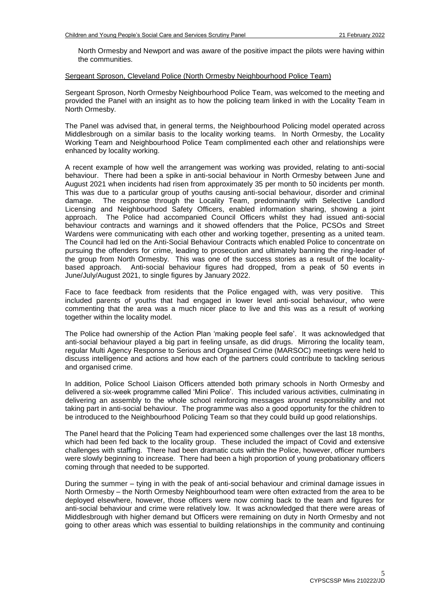North Ormesby and Newport and was aware of the positive impact the pilots were having within the communities.

#### Sergeant Sproson, Cleveland Police (North Ormesby Neighbourhood Police Team)

Sergeant Sproson, North Ormesby Neighbourhood Police Team, was welcomed to the meeting and provided the Panel with an insight as to how the policing team linked in with the Locality Team in North Ormesby.

The Panel was advised that, in general terms, the Neighbourhood Policing model operated across Middlesbrough on a similar basis to the locality working teams. In North Ormesby, the Locality Working Team and Neighbourhood Police Team complimented each other and relationships were enhanced by locality working.

A recent example of how well the arrangement was working was provided, relating to anti-social behaviour. There had been a spike in anti-social behaviour in North Ormesby between June and August 2021 when incidents had risen from approximately 35 per month to 50 incidents per month. This was due to a particular group of youths causing anti-social behaviour, disorder and criminal damage. The response through the Locality Team, predominantly with Selective Landlord Licensing and Neighbourhood Safety Officers, enabled information sharing, showing a joint approach. The Police had accompanied Council Officers whilst they had issued anti-social behaviour contracts and warnings and it showed offenders that the Police, PCSOs and Street Wardens were communicating with each other and working together, presenting as a united team. The Council had led on the Anti-Social Behaviour Contracts which enabled Police to concentrate on pursuing the offenders for crime, leading to prosecution and ultimately banning the ring-leader of the group from North Ormesby. This was one of the success stories as a result of the localitybased approach. Anti-social behaviour figures had dropped, from a peak of 50 events in June/July/August 2021, to single figures by January 2022.

Face to face feedback from residents that the Police engaged with, was very positive. This included parents of youths that had engaged in lower level anti-social behaviour, who were commenting that the area was a much nicer place to live and this was as a result of working together within the locality model.

The Police had ownership of the Action Plan 'making people feel safe'. It was acknowledged that anti-social behaviour played a big part in feeling unsafe, as did drugs. Mirroring the locality team, regular Multi Agency Response to Serious and Organised Crime (MARSOC) meetings were held to discuss intelligence and actions and how each of the partners could contribute to tackling serious and organised crime.

In addition, Police School Liaison Officers attended both primary schools in North Ormesby and delivered a six-week programme called 'Mini Police'. This included various activities, culminating in delivering an assembly to the whole school reinforcing messages around responsibility and not taking part in anti-social behaviour. The programme was also a good opportunity for the children to be introduced to the Neighbourhood Policing Team so that they could build up good relationships.

The Panel heard that the Policing Team had experienced some challenges over the last 18 months, which had been fed back to the locality group. These included the impact of Covid and extensive challenges with staffing. There had been dramatic cuts within the Police, however, officer numbers were slowly beginning to increase. There had been a high proportion of young probationary officers coming through that needed to be supported.

During the summer – tying in with the peak of anti-social behaviour and criminal damage issues in North Ormesby – the North Ormesby Neighbourhood team were often extracted from the area to be deployed elsewhere, however, those officers were now coming back to the team and figures for anti-social behaviour and crime were relatively low. It was acknowledged that there were areas of Middlesbrough with higher demand but Officers were remaining on duty in North Ormesby and not going to other areas which was essential to building relationships in the community and continuing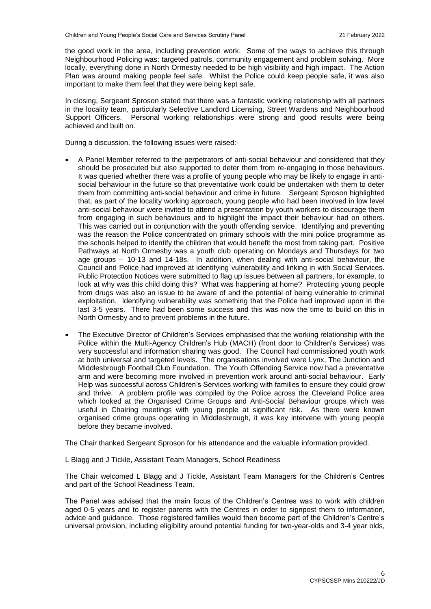the good work in the area, including prevention work. Some of the ways to achieve this through Neighbourhood Policing was: targeted patrols, community engagement and problem solving. More locally, everything done in North Ormesby needed to be high visibility and high impact. The Action Plan was around making people feel safe. Whilst the Police could keep people safe, it was also important to make them feel that they were being kept safe.

In closing, Sergeant Sproson stated that there was a fantastic working relationship with all partners in the locality team, particularly Selective Landlord Licensing, Street Wardens and Neighbourhood Support Officers. Personal working relationships were strong and good results were being achieved and built on.

During a discussion, the following issues were raised:-

- A Panel Member referred to the perpetrators of anti-social behaviour and considered that they should be prosecuted but also supported to deter them from re-engaging in those behaviours. It was queried whether there was a profile of young people who may be likely to engage in antisocial behaviour in the future so that preventative work could be undertaken with them to deter them from committing anti-social behaviour and crime in future. Sergeant Sproson highlighted that, as part of the locality working approach, young people who had been involved in low level anti-social behaviour were invited to attend a presentation by youth workers to discourage them from engaging in such behaviours and to highlight the impact their behaviour had on others. This was carried out in conjunction with the youth offending service. Identifying and preventing was the reason the Police concentrated on primary schools with the mini police programme as the schools helped to identify the children that would benefit the most from taking part. Positive Pathways at North Ormesby was a youth club operating on Mondays and Thursdays for two age groups – 10-13 and 14-18s. In addition, when dealing with anti-social behaviour, the Council and Police had improved at identifying vulnerability and linking in with Social Services. Public Protection Notices were submitted to flag up issues between all partners, for example, to look at why was this child doing this? What was happening at home? Protecting young people from drugs was also an issue to be aware of and the potential of being vulnerable to criminal exploitation. Identifying vulnerability was something that the Police had improved upon in the last 3-5 years. There had been some success and this was now the time to build on this in North Ormesby and to prevent problems in the future.
- The Executive Director of Children's Services emphasised that the working relationship with the Police within the Multi-Agency Children's Hub (MACH) (front door to Children's Services) was very successful and information sharing was good. The Council had commissioned youth work at both universal and targeted levels. The organisations involved were Lynx, The Junction and Middlesbrough Football Club Foundation. The Youth Offending Service now had a preventative arm and were becoming more involved in prevention work around anti-social behaviour. Early Help was successful across Children's Services working with families to ensure they could grow and thrive. A problem profile was compiled by the Police across the Cleveland Police area which looked at the Organised Crime Groups and Anti-Social Behaviour groups which was useful in Chairing meetings with young people at significant risk. As there were known organised crime groups operating in Middlesbrough, it was key intervene with young people before they became involved.

The Chair thanked Sergeant Sproson for his attendance and the valuable information provided.

## L Blagg and J Tickle, Assistant Team Managers, School Readiness

The Chair welcomed L Blagg and J Tickle, Assistant Team Managers for the Children's Centres and part of the School Readiness Team.

The Panel was advised that the main focus of the Children's Centres was to work with children aged 0-5 years and to register parents with the Centres in order to signpost them to information, advice and guidance. Those registered families would then become part of the Children's Centre's universal provision, including eligibility around potential funding for two-year-olds and 3-4 year olds,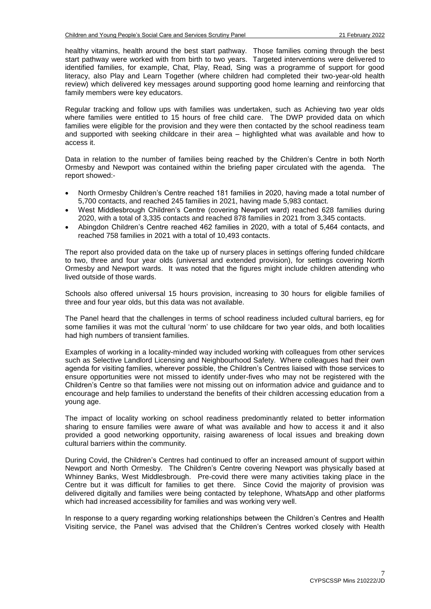healthy vitamins, health around the best start pathway. Those families coming through the best start pathway were worked with from birth to two years. Targeted interventions were delivered to identified families, for example, Chat, Play, Read, Sing was a programme of support for good literacy, also Play and Learn Together (where children had completed their two-year-old health review) which delivered key messages around supporting good home learning and reinforcing that family members were key educators.

Regular tracking and follow ups with families was undertaken, such as Achieving two year olds where families were entitled to 15 hours of free child care. The DWP provided data on which families were eligible for the provision and they were then contacted by the school readiness team and supported with seeking childcare in their area – highlighted what was available and how to access it.

Data in relation to the number of families being reached by the Children's Centre in both North Ormesby and Newport was contained within the briefing paper circulated with the agenda. The report showed:-

- North Ormesby Children's Centre reached 181 families in 2020, having made a total number of 5,700 contacts, and reached 245 families in 2021, having made 5,983 contact.
- West Middlesbrough Children's Centre (covering Newport ward) reached 628 families during 2020, with a total of 3,335 contacts and reached 878 families in 2021 from 3,345 contacts.
- Abingdon Children's Centre reached 462 families in 2020, with a total of 5,464 contacts, and reached 758 families in 2021 with a total of 10,493 contacts.

The report also provided data on the take up of nursery places in settings offering funded childcare to two, three and four year olds (universal and extended provision), for settings covering North Ormesby and Newport wards. It was noted that the figures might include children attending who lived outside of those wards.

Schools also offered universal 15 hours provision, increasing to 30 hours for eligible families of three and four year olds, but this data was not available.

The Panel heard that the challenges in terms of school readiness included cultural barriers, eg for some families it was mot the cultural 'norm' to use childcare for two year olds, and both localities had high numbers of transient families.

Examples of working in a locality-minded way included working with colleagues from other services such as Selective Landlord Licensing and Neighbourhood Safety. Where colleagues had their own agenda for visiting families, wherever possible, the Children's Centres liaised with those services to ensure opportunities were not missed to identify under-fives who may not be registered with the Children's Centre so that families were not missing out on information advice and guidance and to encourage and help families to understand the benefits of their children accessing education from a young age.

The impact of locality working on school readiness predominantly related to better information sharing to ensure families were aware of what was available and how to access it and it also provided a good networking opportunity, raising awareness of local issues and breaking down cultural barriers within the community.

During Covid, the Children's Centres had continued to offer an increased amount of support within Newport and North Ormesby. The Children's Centre covering Newport was physically based at Whinney Banks, West Middlesbrough. Pre-covid there were many activities taking place in the Centre but it was difficult for families to get there. Since Covid the majority of provision was delivered digitally and families were being contacted by telephone, WhatsApp and other platforms which had increased accessibility for families and was working very well.

In response to a query regarding working relationships between the Children's Centres and Health Visiting service, the Panel was advised that the Children's Centres worked closely with Health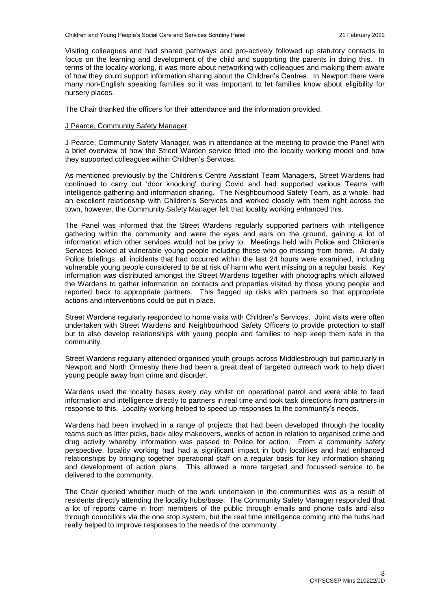Visiting colleagues and had shared pathways and pro-actively followed up statutory contacts to focus on the learning and development of the child and supporting the parents in doing this. In terms of the locality working, it was more about networking with colleagues and making them aware of how they could support information sharing about the Children's Centres. In Newport there were many non-English speaking families so it was important to let families know about eligibility for nursery places.

The Chair thanked the officers for their attendance and the information provided.

## J Pearce, Community Safety Manager

J Pearce, Community Safety Manager, was in attendance at the meeting to provide the Panel with a brief overview of how the Street Warden service fitted into the locality working model and how they supported colleagues within Children's Services.

As mentioned previously by the Children's Centre Assistant Team Managers, Street Wardens had continued to carry out 'door knocking' during Covid and had supported various Teams with intelligence gathering and information sharing. The Neighbourhood Safety Team, as a whole, had an excellent relationship with Children's Services and worked closely with them right across the town, however, the Community Safety Manager felt that locality working enhanced this.

The Panel was informed that the Street Wardens regularly supported partners with intelligence gathering within the community and were the eyes and ears on the ground, gaining a lot of information which other services would not be privy to. Meetings held with Police and Children's Services looked at vulnerable young people including those who go missing from home. At daily Police briefings, all incidents that had occurred within the last 24 hours were examined, including vulnerable young people considered to be at risk of harm who went missing on a regular basis. Key information was distributed amongst the Street Wardens together with photographs which allowed the Wardens to gather information on contacts and properties visited by those young people and reported back to appropriate partners. This flagged up risks with partners so that appropriate actions and interventions could be put in place.

Street Wardens regularly responded to home visits with Children's Services. Joint visits were often undertaken with Street Wardens and Neighbourhood Safety Officers to provide protection to staff but to also develop relationships with young people and families to help keep them safe in the community.

Street Wardens regularly attended organised youth groups across Middlesbrough but particularly in Newport and North Ormesby there had been a great deal of targeted outreach work to help divert young people away from crime and disorder.

Wardens used the locality bases every day whilst on operational patrol and were able to feed information and intelligence directly to partners in real time and took task directions from partners in response to this. Locality working helped to speed up responses to the community's needs.

Wardens had been involved in a range of projects that had been developed through the locality teams such as litter picks, back alley makeovers, weeks of action in relation to organised crime and drug activity whereby information was passed to Police for action. From a community safety perspective, locality working had had a significant impact in both localities and had enhanced relationships by bringing together operational staff on a regular basis for key information sharing and development of action plans. This allowed a more targeted and focussed service to be delivered to the community.

The Chair queried whether much of the work undertaken in the communities was as a result of residents directly attending the locality hubs/base. The Community Safety Manager responded that a lot of reports came in from members of the public through emails and phone calls and also through councillors via the one stop system, but the real time intelligence coming into the hubs had really helped to improve responses to the needs of the community.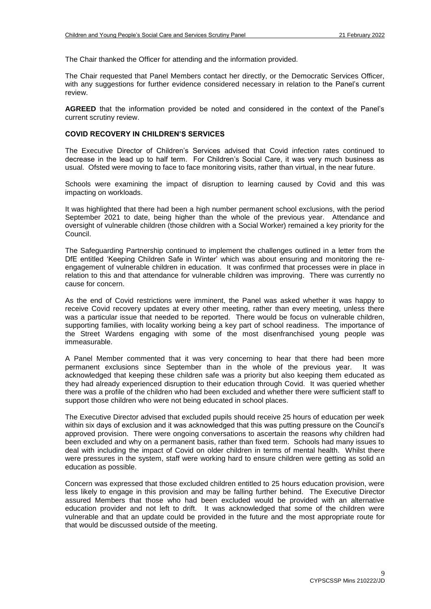The Chair thanked the Officer for attending and the information provided.

The Chair requested that Panel Members contact her directly, or the Democratic Services Officer, with any suggestions for further evidence considered necessary in relation to the Panel's current review.

**AGREED** that the information provided be noted and considered in the context of the Panel's current scrutiny review.

## **COVID RECOVERY IN CHILDREN'S SERVICES**

The Executive Director of Children's Services advised that Covid infection rates continued to decrease in the lead up to half term. For Children's Social Care, it was very much business as usual. Ofsted were moving to face to face monitoring visits, rather than virtual, in the near future.

Schools were examining the impact of disruption to learning caused by Covid and this was impacting on workloads.

It was highlighted that there had been a high number permanent school exclusions, with the period September 2021 to date, being higher than the whole of the previous year. Attendance and oversight of vulnerable children (those children with a Social Worker) remained a key priority for the Council.

The Safeguarding Partnership continued to implement the challenges outlined in a letter from the DfE entitled 'Keeping Children Safe in Winter' which was about ensuring and monitoring the reengagement of vulnerable children in education. It was confirmed that processes were in place in relation to this and that attendance for vulnerable children was improving. There was currently no cause for concern.

As the end of Covid restrictions were imminent, the Panel was asked whether it was happy to receive Covid recovery updates at every other meeting, rather than every meeting, unless there was a particular issue that needed to be reported. There would be focus on vulnerable children, supporting families, with locality working being a key part of school readiness. The importance of the Street Wardens engaging with some of the most disenfranchised young people was immeasurable.

A Panel Member commented that it was very concerning to hear that there had been more permanent exclusions since September than in the whole of the previous year. It was acknowledged that keeping these children safe was a priority but also keeping them educated as they had already experienced disruption to their education through Covid. It was queried whether there was a profile of the children who had been excluded and whether there were sufficient staff to support those children who were not being educated in school places.

The Executive Director advised that excluded pupils should receive 25 hours of education per week within six days of exclusion and it was acknowledged that this was putting pressure on the Council's approved provision. There were ongoing conversations to ascertain the reasons why children had been excluded and why on a permanent basis, rather than fixed term. Schools had many issues to deal with including the impact of Covid on older children in terms of mental health. Whilst there were pressures in the system, staff were working hard to ensure children were getting as solid an education as possible.

Concern was expressed that those excluded children entitled to 25 hours education provision, were less likely to engage in this provision and may be falling further behind. The Executive Director assured Members that those who had been excluded would be provided with an alternative education provider and not left to drift. It was acknowledged that some of the children were vulnerable and that an update could be provided in the future and the most appropriate route for that would be discussed outside of the meeting.